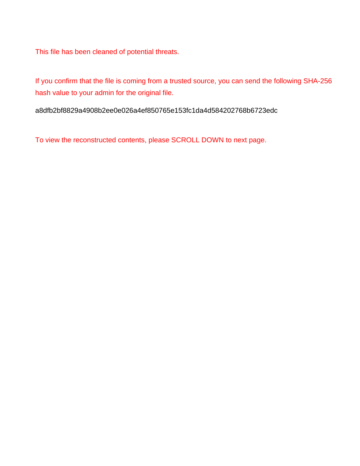This file has been cleaned of potential threats.

If you confirm that the file is coming from a trusted source, you can send the following SHA-256 hash value to your admin for the original file.

a8dfb2bf8829a4908b2ee0e026a4ef850765e153fc1da4d584202768b6723edc

To view the reconstructed contents, please SCROLL DOWN to next page.